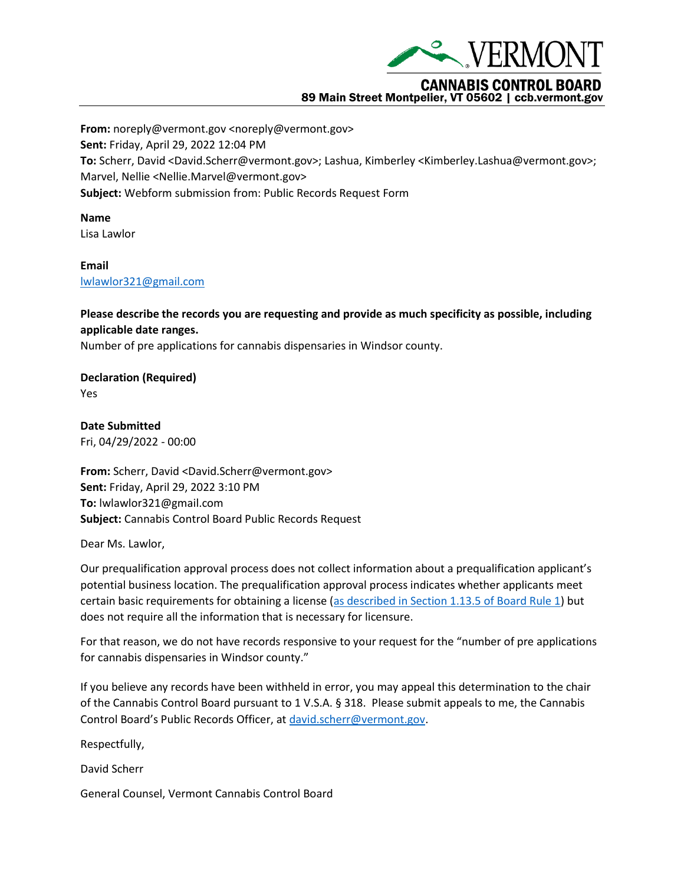

## 89 Main Street Montpelier, VT 05602 | ccb.vermont.gov

**From:** noreply@vermont.gov <noreply@vermont.gov> **Sent:** Friday, April 29, 2022 12:04 PM **To:** Scherr, David <David.Scherr@vermont.gov>; Lashua, Kimberley <Kimberley.Lashua@vermont.gov>; Marvel, Nellie <Nellie.Marvel@vermont.gov> **Subject:** Webform submission from: Public Records Request Form

**Name** Lisa Lawlor

**Email** [lwlawlor321@gmail.com](mailto:lwlawlor321@gmail.com)

**Please describe the records you are requesting and provide as much specificity as possible, including applicable date ranges.**

Number of pre applications for cannabis dispensaries in Windsor county.

**Declaration (Required)** Yes

**Date Submitted** Fri, 04/29/2022 - 00:00

**From:** Scherr, David <David.Scherr@vermont.gov> **Sent:** Friday, April 29, 2022 3:10 PM **To:** lwlawlor321@gmail.com **Subject:** Cannabis Control Board Public Records Request

Dear Ms. Lawlor,

Our prequalification approval process does not collect information about a prequalification applicant's potential business location. The prequalification approval process indicates whether applicants meet certain basic requirements for obtaining a license [\(as described in Section 1.13.5 of Board Rule 1\)](https://ccb.vermont.gov/sites/ccb/files/2022-03/Rule%201%20-%20Licensing%20of%20Cannabis%20Establishments.pdf) but does not require all the information that is necessary for licensure.

For that reason, we do not have records responsive to your request for the "number of pre applications for cannabis dispensaries in Windsor county."

If you believe any records have been withheld in error, you may appeal this determination to the chair of the Cannabis Control Board pursuant to 1 V.S.A. § 318. Please submit appeals to me, the Cannabis Control Board's Public Records Officer, at [david.scherr@vermont.gov.](mailto:david.scherr@vermont.gov)

Respectfully,

David Scherr

General Counsel, Vermont Cannabis Control Board